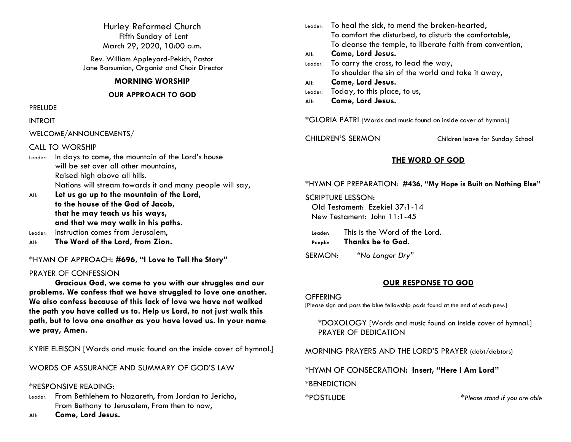Hurley Reformed Church Fifth Sunday of Lent March 29, 2020, 10:00 a.m.

Rev. William Appleyard-Pekich, Pastor Jane Barsumian, Organist and Choir Director

## **MORNING WORSHIP**

### **OUR APPROACH TO GOD**

### PRELUDE

## INTROIT

WELCOME/ANNOUNCEMENTS/

## CALL TO WORSHIP

- Leader: In days to come, the mountain of the Lord's house will be set over all other mountains, Raised high above all hills. Nations will stream towards it and many people will say,
- **All: Let us go up to the mountain of the Lord, to the house of the God of Jacob, that he may teach us his ways, and that we may walk in his paths.**  Leader: Instruction comes from Jerusalem,
- 
- **All: The Word of the Lord, from Zion.**

\*HYMN OF APPROACH: **#696, "I Love to Tell the Story"**

## PRAYER OF CONFESSION

**Gracious God, we come to you with our struggles and our problems. We confess that we have struggled to love one another. We also confess because of this lack of love we have not walked the path you have called us to. Help us Lord, to not just walk this path, but to love one another as you have loved us. In your name we pray, Amen.**

KYRIE ELEISON [Words and music found on the inside cover of hymnal.]

WORDS OF ASSURANCE AND SUMMARY OF GOD'S LAW

## \*RESPONSIVE READING:

- Leader: From Bethlehem to Nazareth, from Jordan to Jericho, From Bethany to Jerusalem, From then to now,
- **All: Come, Lord Jesus.**

| Leader:                                                          | To heal the sick, to mend the broken-hearted,             |  |
|------------------------------------------------------------------|-----------------------------------------------------------|--|
|                                                                  | To comfort the disturbed, to disturb the comfortable,     |  |
|                                                                  | To cleanse the temple, to liberate faith from convention, |  |
| All:                                                             | Come, Lord Jesus.                                         |  |
| Leader:                                                          | To carry the cross, to lead the way,                      |  |
|                                                                  | To shoulder the sin of the world and take it away,        |  |
| All:                                                             | Come, Lord Jesus.                                         |  |
| Leader:                                                          | Today, to this place, to us,                              |  |
| All:                                                             | Come, Lord Jesus.                                         |  |
| *GLORIA PATRI [Words and music found on inside cover of hymnal.] |                                                           |  |

CHILDREN'S SERMON Children leave for Sunday School

## **THE WORD OF GOD**

\*HYMN OF PREPARATION: **#436, "My Hope is Built on Nothing Else"**

SCRIPTURE LESSON: Old Testament: Ezekiel 37:1-14 New Testament: John 11:1-45

Leader: This is the Word of the Lord. **People: Thanks be to God.**

SERMON: *"No Longer Dry"*

## **OUR RESPONSE TO GOD**

### **OFFERING**

[Please sign and pass the blue fellowship pads found at the end of each pew.]

\*DOXOLOGY [Words and music found on inside cover of hymnal.] PRAYER OF DEDICATION

MORNING PRAYERS AND THE LORD'S PRAYER (debt/debtors)

\*HYMN OF CONSECRATION**: Insert, "Here I Am Lord"**

**\***BENEDICTION

\*POSTLUDE \**Please stand if you are able*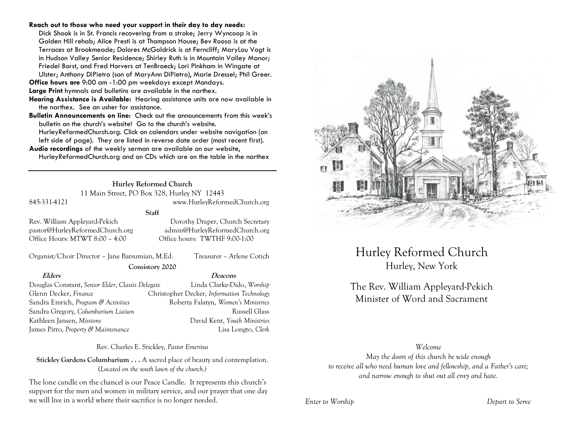### **Reach out to those who need your support in their day to day needs:**

Dick Shook is in St. Francis recovering from a stroke; Jerry Wyncoop is in Golden Hill rehab; Alice Presti is at Thompson House; Bev Roosa is at the Terraces at Brookmeade; Dolores McGoldrick is at Ferncliff; MaryLou Vogt is in Hudson Valley Senior Residence; Shirley Ruth is in Mountain Valley Manor; Friedel Borst, and Fred Horvers at TenBroeck; Lori Pinkham in Wingate at Ulster; Anthony DiPietro (son of MaryAnn DiPietro), Marie Dressel; Phil Greer.

**Office hours are** 9:00 am -1:00 pm weekdays except Mondays.

**Large Print** hymnals and bulletins are available in the narthex.

- **Hearing Assistance is Available:** Hearing assistance units are now available in the narthex. See an usher for assistance.
- **Bulletin Announcements on line:** Check out the announcements from this week's bulletin on the church's website! Go to the church's website.

HurleyReformedChurch.org. Click on calendars under website navigation (on left side of page). They are listed in reverse date order (most recent first).

**Audio recordings** of the weekly sermon are available on our website, HurleyReformedChurch.org and on CDs which are on the table in the narthex

## **Hurley Reformed Church**

11 Main Street, PO Box 328, Hurley NY 12443

## 845-331-4121 www.HurleyReformedChurch.org

## **Staff**

Office Hours: MTWT 8:00 – 4:00 Office hours: TWTHF 9:00-1:00

Rev. William Appleyard-Pekich Dorothy Draper, Church Secretary pastor@HurleyReformedChurch.org admin@HurleyReformedChurch.org

Organist/Choir Director – Jane Barsumian, M.Ed. Treasurer – Arlene Cotich

**Consistory 2020**

**Elders Deacons** Douglas Constant, *Senior Elder*, *Classis Delegate* Linda Clarke-Dido, *Worship* Glenn Decker, *Finance* Christopher Decker, *Information Technology* Sandra Emrich, *Program & Activities* Roberta Falatyn, *Women's Ministries* Sandra Gregory, *Columbarium Liaison* and a settlement of Russell Glass Kathleen Jansen, *Missions* David Kent, *Youth Ministries*

James Pirro, *Property & Maintenance* Lisa Longto, *Clerk*

Rev. Charles E. Stickley, *Pastor Emeritus*

**Stickley Gardens Columbarium . . .** A sacred place of beauty and contemplation. (*Located on the south lawn of the church.)* 

The lone candle on the chancel is our Peace Candle. It represents this church's support for the men and women in military service, and our prayer that one day we will live in a world where their sacrifice is no longer needed.



Hurley Reformed Church Hurley, New York

# The Rev. William Appleyard-Pekich Minister of Word and Sacrament

## *Welcome*

*May the doors of this church be wide enough to receive all who need human love and fellowship, and a Father's care; and narrow enough to shut out all envy and hate.*

*Enter to Worship Depart to Serve*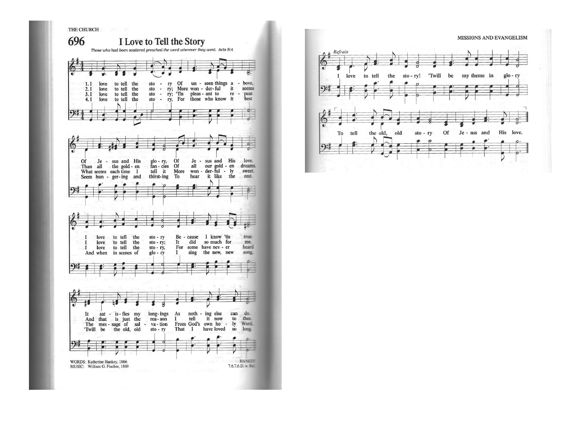

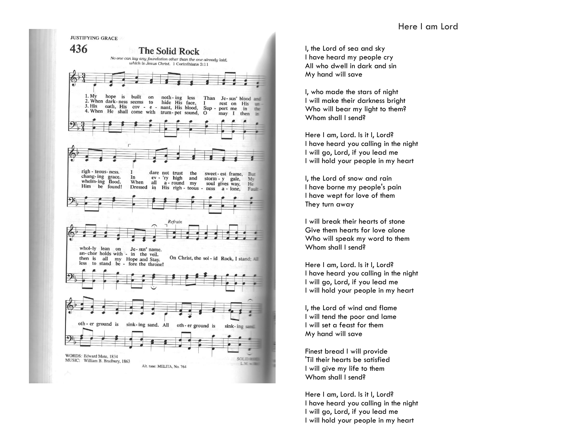I, the Lord of sea and sky I have heard my people cry All who dwell in dark and sin My hand will save

I, who made the stars of night I will make their darkness bright Who will bear my light to them? Whom shall I send?

Here I am, Lord. Is it I, Lord? I have heard you calling in the night I will go, Lord, if you lead me I will hold your people in my heart

I, the Lord of snow and rain I have borne my people's pain I have wept for love of them They turn away

I will break their hearts of stone Give them hearts for love alone Who will speak my word to them Whom shall I send?

Here I am, Lord. Is it I, Lord? I have heard you calling in the night I will go, Lord, if you lead me I will hold your people in my heart

I, the Lord of wind and flame I will tend the poor and lame I will set a feast for them My hand will save

Finest bread I will provide 'Til their hearts be satisfied I will give my life to them Whom shall I send?

Here I am, Lord. Is it I, Lord? I have heard you calling in the night I will go, Lord, if you lead me I will hold your people in my heart



**JUSTIFYING GRACE**